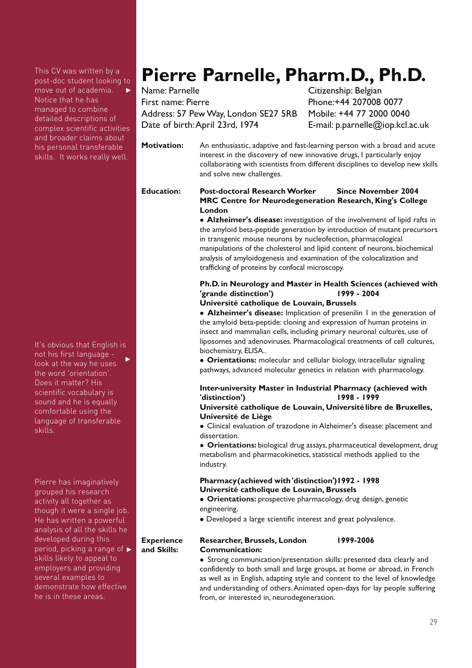This CV was written by a post-doc student looking to move out of academia. Notice that he has managed to combine detailed descriptions of complex scientific activities and broader claims about his personal transferable skills. It works really well.

**Pierre Parnelle, Pharm.D., Ph.D.**<br>Name: Parnelle

First name: Pierre Phone: +44 207008 0077 Address: 57 Pew Way, London SE27 5RB Mobile: +44 77 2000 0040 Date of birth: April 23rd, 1974 E-mail: p.parnelle@iop.kcl.ac.uk

Citizenship: Belgian

**Motivation:** An enthusiastic, adaptive and fast-learning person with a broad and acute interest in the discovery of new innovative drugs, I particularly enjoy collaborating with scientists from different disciplines to develop new skills and solve new challenges.

**Education: Post-doctoral Research Worker Since November 2004 MRC Centre for Neurodegeneration Research, King's College London**

> **Alzheimer's disease:** investigation of the involvement of lipid rafts in the amyloid beta-peptide generation by introduction of mutant precursors in transgenic mouse neurons by nucleofection, pharmacological manipulations of the cholesterol and lipid content of neurons, biochemical analysis of amyloidogenesis and examination of the colocalization and trafficking of proteins by confocal microscopy.

## **Ph.D. in Neurology and Master in Health Sciences (achieved with 'grande distinction') 1999 - 2004**

#### **Université catholique de Louvain, Brussels**

 **Alzheimer's disease:** Implication of presenilin 1 in the generation of the amyloid beta-peptide: cloning and expression of human proteins in insect and mammalian cells, including primary neuronal cultures, use of liposomes and adenoviruses. Pharmacological treatments of cell cultures, biochemistry, ELISA..

 **Orientations:** molecular and cellular biology, intracellular signaling pathways, advanced molecular genetics in relation with pharmacology.

# **Inter-university Master in Industrial Pharmacy (achieved with 'distinction') 1998 - 1999**

#### **Université catholique de Louvain, Universitélibre de Bruxelles, Université de Liège**

- Clinical evaluation of trazodone in Alzheimer's disease: placement and dissertation.
- **Orientations:** biological drug assays, pharmaceutical development, drug metabolism and pharmacokinetics, statistical methods applied to the industry.

## **Pharmacy(achieved with 'distinction')1992 - 1998 Université catholique de Louvain, Brussels**

- **Orientations:** prospective pharmacology, drug design, genetic engineering.
- Developed a large scientific interest and great polyvalence.

## **Experience Researcher, Brussels, London 1999-2006 and Skills: Communication:**

 Strong communication/presentation skills: presented data clearly and confidently to both small and large groups, at home or abroad, in French as well as in English, adapting style and content to the level of knowledge and understanding of others.Animated open-days for lay people suffering from, or interested in, neurodegeneration.

It's obvious that English is not his first language look at the way he uses the word 'orientation'. Does it matter? His scientific vocabulary is sound and he is equally comfortable using the language of transferable skills.

Pierre has imaginatively grouped his research activity all together as though it were a single job. He has written a powerful analysis of all the skills he developed during this period, picking a range of skills likely to appeal to employers and providing several examples to demonstrate how effective he is in these areas.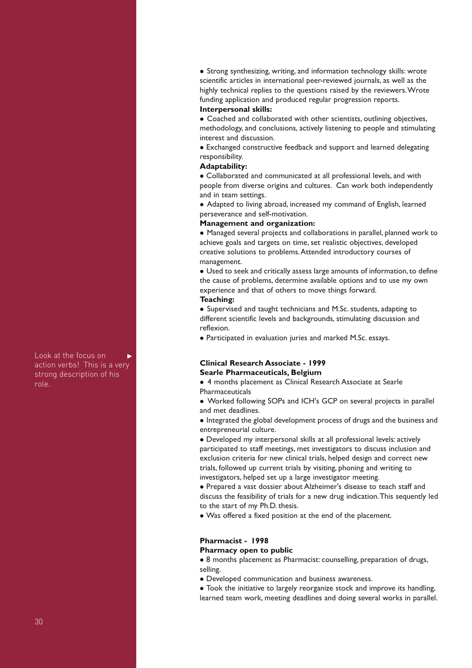Look at the focus on action verbs! This is a very strong description of his role.

## • Strong synthesizing, writing, and information technology skills: wrote scientific articles in international peer-reviewed journals, as well as the highly technical replies to the questions raised by the reviewers.Wrote funding application and produced regular progression reports.

## **Interpersonal skills:**

 Coached and collaborated with other scientists, outlining objectives, methodology, and conclusions, actively listening to people and stimulating interest and discussion.

 Exchanged constructive feedback and support and learned delegating responsibility.

## **Adaptability:**

 Collaborated and communicated at all professional levels, and with people from diverse origins and cultures. Can work both independently and in team settings.

 Adapted to living abroad, increased my command of English, learned perseverance and self-motivation.

## **Management and organization:**

 Managed several projects and collaborations in parallel, planned work to achieve goals and targets on time, set realistic objectives, developed creative solutions to problems.Attended introductory courses of management.

 Used to seek and critically assess large amounts of information, to define the cause of problems, determine available options and to use my own experience and that of others to move things forward.

## **Teaching:**

 Supervised and taught technicians and M.Sc. students, adapting to different scientific levels and backgrounds, stimulating discussion and reflexion.

Participated in evaluation juries and marked M.Sc. essays.

## **Clinical Research Associate - 1999 Searle Pharmaceuticals, Belgium**

 4 months placement as Clinical Research Associate at Searle Pharmaceuticals

- Worked following SOPs and ICH's GCP on several projects in parallel and met deadlines.
- $\bullet$  Integrated the global development process of drugs and the business and entrepreneurial culture.

 Developed my interpersonal skills at all professional levels: actively participated to staff meetings, met investigators to discuss inclusion and exclusion criteria for new clinical trials, helped design and correct new trials, followed up current trials by visiting, phoning and writing to investigators, helped set up a large investigator meeting.

 Prepared a vast dossier about Alzheimer's disease to teach staff and discuss the feasibility of trials for a new drug indication.This sequently led to the start of my Ph.D. thesis.

Was offered a fixed position at the end of the placement.

## **Pharmacist - 1998**

#### **Pharmacy open to public**

 8 months placement as Pharmacist: counselling, preparation of drugs, selling.

Developed communication and business awareness.

 Took the initiative to largely reorganize stock and improve its handling, learned team work, meeting deadlines and doing several works in parallel.